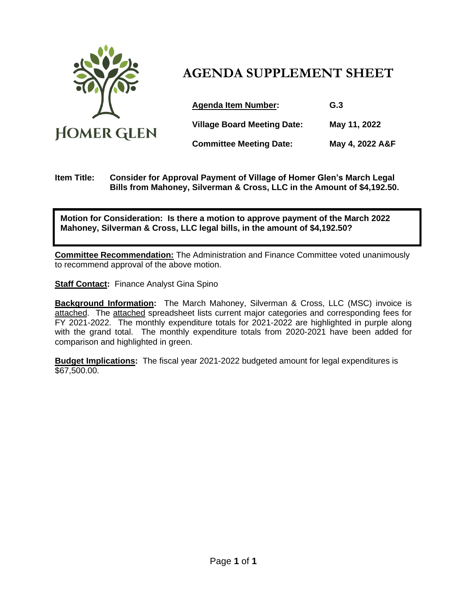

# **AGENDA SUPPLEMENT SHEET**

| <b>Agenda Item Number:</b>         | G.3             |
|------------------------------------|-----------------|
| <b>Village Board Meeting Date:</b> | May 11, 2022    |
| <b>Committee Meeting Date:</b>     | May 4, 2022 A&F |

**Item Title: Consider for Approval Payment of Village of Homer Glen's March Legal Bills from Mahoney, Silverman & Cross, LLC in the Amount of \$4,192.50.**

**Motion for Consideration: Is there a motion to approve payment of the March 2022 Mahoney, Silverman & Cross, LLC legal bills, in the amount of \$4,192.50?**

**Committee Recommendation:** The Administration and Finance Committee voted unanimously to recommend approval of the above motion.

**Staff Contact:** Finance Analyst Gina Spino

**Background Information:** The March Mahoney, Silverman & Cross, LLC (MSC) invoice is attached. The attached spreadsheet lists current major categories and corresponding fees for FY 2021-2022. The monthly expenditure totals for 2021-2022 are highlighted in purple along with the grand total. The monthly expenditure totals from 2020-2021 have been added for comparison and highlighted in green.

**Budget Implications:** The fiscal year 2021-2022 budgeted amount for legal expenditures is  $\overline{$67,500.00}$ .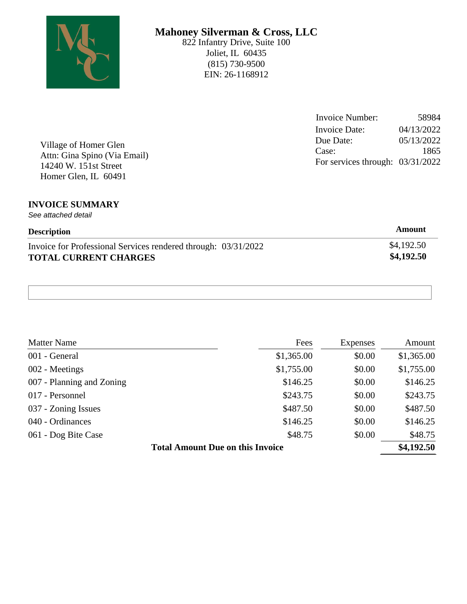

# **Mahoney Silverman & Cross, LLC**

822 Infantry Drive, Suite 100 Joliet, IL 60435 (815) 730-9500 EIN: 26-1168912

|                              | Invoice Number:                    | 58984      |
|------------------------------|------------------------------------|------------|
|                              | Invoice Date:                      | 04/13/2022 |
| Village of Homer Glen        | Due Date:                          | 05/13/2022 |
| Attn: Gina Spino (Via Email) | Case:                              | 1865       |
| 14240 W. 151st Street        | For services through: $03/31/2022$ |            |
| Homer Glen, IL 60491         |                                    |            |

#### **INVOICE SUMMARY**

*See attached detail*

| <b>Description</b>                                             | Amount     |
|----------------------------------------------------------------|------------|
| Invoice for Professional Services rendered through: 03/31/2022 | \$4,192.50 |
| <b>TOTAL CURRENT CHARGES</b>                                   | \$4,192.50 |

| <b>Matter Name</b>        | Fees                                    | <b>Expenses</b> | Amount     |
|---------------------------|-----------------------------------------|-----------------|------------|
| 001 - General             | \$1,365.00                              | \$0.00          | \$1,365.00 |
| 002 - Meetings            | \$1,755.00                              | \$0.00          | \$1,755.00 |
| 007 - Planning and Zoning | \$146.25                                | \$0.00          | \$146.25   |
| 017 - Personnel           | \$243.75                                | \$0.00          | \$243.75   |
| 037 - Zoning Issues       | \$487.50                                | \$0.00          | \$487.50   |
| 040 - Ordinances          | \$146.25                                | \$0.00          | \$146.25   |
| 061 - Dog Bite Case       | \$48.75                                 | \$0.00          | \$48.75    |
|                           | <b>Total Amount Due on this Invoice</b> |                 | \$4,192.50 |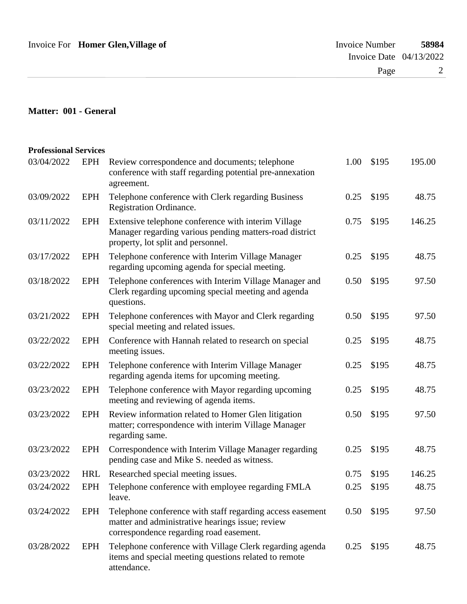| Invoice For Homer Glen, Village of | Invoice Number            | 58984 |
|------------------------------------|---------------------------|-------|
|                                    | Invoice Date $04/13/2022$ |       |
|                                    | Page                      |       |
|                                    |                           |       |

#### **Matter: 001 - General**

| 03/04/2022 | <b>EPH</b> | Review correspondence and documents; telephone<br>conference with staff regarding potential pre-annexation<br>agreement.                                 | 1.00 | \$195 | 195.00 |
|------------|------------|----------------------------------------------------------------------------------------------------------------------------------------------------------|------|-------|--------|
| 03/09/2022 | <b>EPH</b> | Telephone conference with Clerk regarding Business<br><b>Registration Ordinance.</b>                                                                     | 0.25 | \$195 | 48.75  |
| 03/11/2022 | EPH        | Extensive telephone conference with interim Village<br>Manager regarding various pending matters-road district<br>property, lot split and personnel.     | 0.75 | \$195 | 146.25 |
| 03/17/2022 | <b>EPH</b> | Telephone conference with Interim Village Manager<br>regarding upcoming agenda for special meeting.                                                      | 0.25 | \$195 | 48.75  |
| 03/18/2022 | <b>EPH</b> | Telephone conferences with Interim Village Manager and<br>Clerk regarding upcoming special meeting and agenda<br>questions.                              | 0.50 | \$195 | 97.50  |
| 03/21/2022 | <b>EPH</b> | Telephone conferences with Mayor and Clerk regarding<br>special meeting and related issues.                                                              | 0.50 | \$195 | 97.50  |
| 03/22/2022 | <b>EPH</b> | Conference with Hannah related to research on special<br>meeting issues.                                                                                 | 0.25 | \$195 | 48.75  |
| 03/22/2022 | <b>EPH</b> | Telephone conference with Interim Village Manager<br>regarding agenda items for upcoming meeting.                                                        | 0.25 | \$195 | 48.75  |
| 03/23/2022 | <b>EPH</b> | Telephone conference with Mayor regarding upcoming<br>meeting and reviewing of agenda items.                                                             | 0.25 | \$195 | 48.75  |
| 03/23/2022 | <b>EPH</b> | Review information related to Homer Glen litigation<br>matter; correspondence with interim Village Manager<br>regarding same.                            | 0.50 | \$195 | 97.50  |
| 03/23/2022 | <b>EPH</b> | Correspondence with Interim Village Manager regarding<br>pending case and Mike S. needed as witness.                                                     | 0.25 | \$195 | 48.75  |
| 03/23/2022 | <b>HRL</b> | Researched special meeting issues.                                                                                                                       | 0.75 | \$195 | 146.25 |
| 03/24/2022 | <b>EPH</b> | Telephone conference with employee regarding FMLA<br>leave.                                                                                              | 0.25 | \$195 | 48.75  |
| 03/24/2022 | EPH        | Telephone conference with staff regarding access easement<br>matter and administrative hearings issue; review<br>correspondence regarding road easement. | 0.50 | \$195 | 97.50  |
| 03/28/2022 | EPH        | Telephone conference with Village Clerk regarding agenda<br>items and special meeting questions related to remote<br>attendance.                         | 0.25 | \$195 | 48.75  |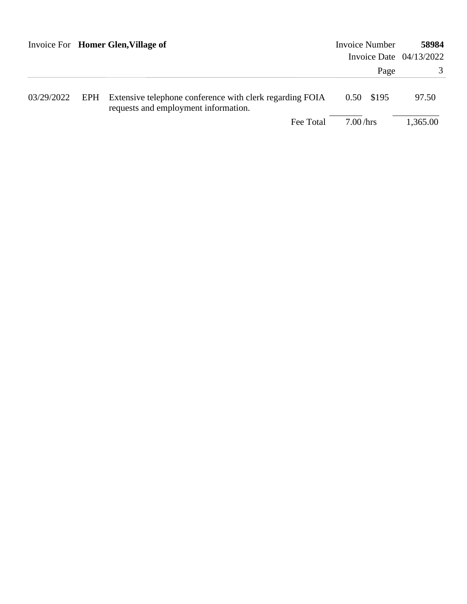| Invoice For Homer Glen, Village of |     | <b>Invoice Number</b>                                                                            | 58984                     |          |
|------------------------------------|-----|--------------------------------------------------------------------------------------------------|---------------------------|----------|
|                                    |     |                                                                                                  | Invoice Date $04/13/2022$ |          |
|                                    |     |                                                                                                  | Page                      | 3        |
| 03/29/2022                         | EPH | Extensive telephone conference with clerk regarding FOIA<br>requests and employment information. | 0.50 \$195                | 97.50    |
|                                    |     | Fee Total                                                                                        | 7.00/hrs                  | 1,365.00 |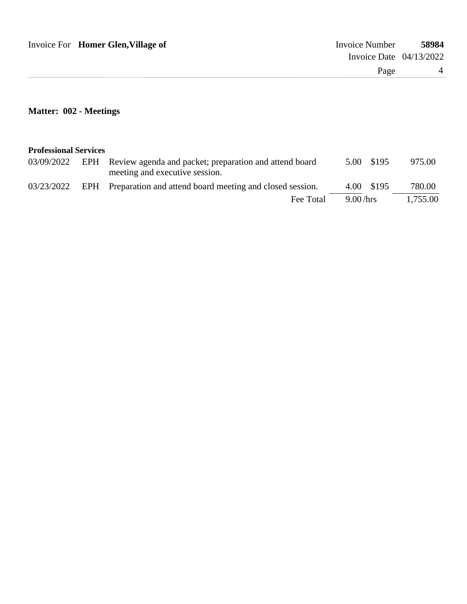| Invoice For Homer Glen, Village of | <b>Invoice Number</b>     | 58984 |
|------------------------------------|---------------------------|-------|
|                                    | Invoice Date $04/13/2022$ |       |
|                                    | Page                      |       |
|                                    |                           |       |

## **Matter: 002 - Meetings**

| <b>Professional Services</b> |                                                                                                         |          |            |          |
|------------------------------|---------------------------------------------------------------------------------------------------------|----------|------------|----------|
|                              | 03/09/2022 EPH Review agenda and packet; preparation and attend board<br>meeting and executive session. |          | 5.00 \$195 | 975.00   |
|                              | $03/23/2022$ EPH Preparation and attend board meeting and closed session.                               |          | 4.00 \$195 | 780.00   |
|                              | Fee Total                                                                                               | 9.00/hrs |            | 1,755.00 |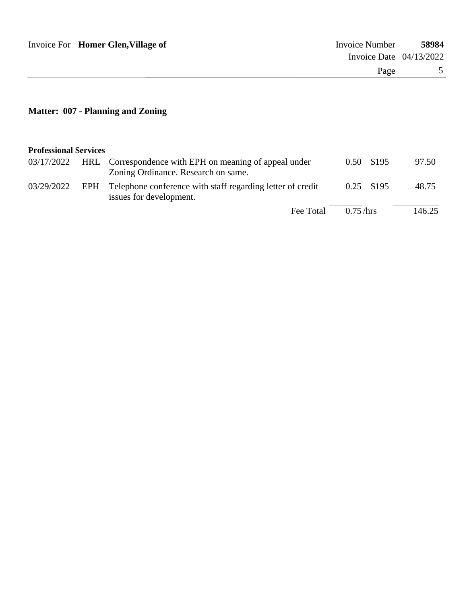| Invoice For Homer Glen, Village of | <b>Invoice Number</b>     | 58984 |
|------------------------------------|---------------------------|-------|
|                                    | Invoice Date $04/13/2022$ |       |
|                                    | Page                      |       |
|                                    |                           |       |

## **Matter: 007 - Planning and Zoning**

|  | $03/17/2022$ HRL Correspondence with EPH on meaning of appeal under<br>Zoning Ordinance. Research on same. |             | 0.50 \$195   | 97.50  |
|--|------------------------------------------------------------------------------------------------------------|-------------|--------------|--------|
|  | 03/29/2022 EPH Telephone conference with staff regarding letter of credit<br>issues for development.       |             | $0.25$ \$195 | 48.75  |
|  | Fee Total                                                                                                  | $0.75$ /hrs |              | 146.25 |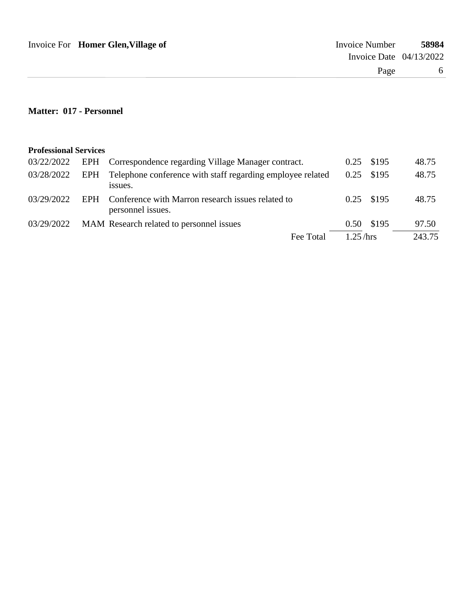| <b>Invoice Number</b>     | 58984 |
|---------------------------|-------|
| Invoice Date $04/13/2022$ |       |
| Page                      | 6.    |
|                           |       |

#### **Matter: 017 - Personnel**

| 03/22/2022 | EPH Correspondence regarding Village Manager contract.                     |          | 0.25 \$195 | 48.75  |
|------------|----------------------------------------------------------------------------|----------|------------|--------|
| 03/28/2022 | EPH Telephone conference with staff regarding employee related<br>issues.  | 0.25     | \$195      | 48.75  |
| 03/29/2022 | EPH Conference with Marron research issues related to<br>personnel issues. |          | 0.25 \$195 | 48.75  |
| 03/29/2022 | MAM Research related to personnel issues                                   |          | 0.50 \$195 | 97.50  |
|            | Fee Total                                                                  | 1.25/hrs |            | 243.75 |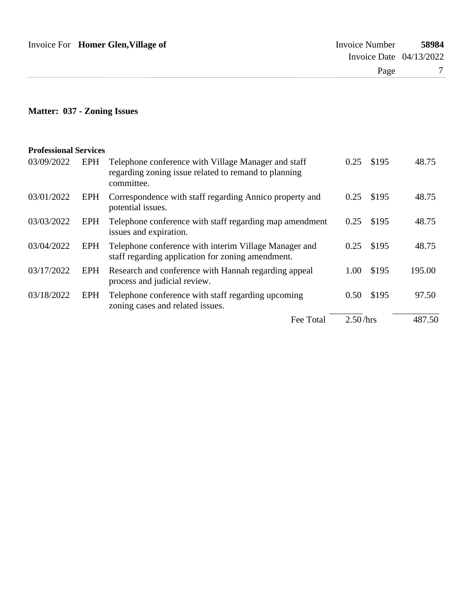| Invoice For Homer Glen, Village of | Invoice Number            | 58984 |
|------------------------------------|---------------------------|-------|
|                                    | Invoice Date $04/13/2022$ |       |
|                                    | Page                      |       |

## **Matter: 037 - Zoning Issues**

| 03/09/2022 | EPH        | Telephone conference with Village Manager and staff<br>regarding zoning issue related to remand to planning<br>committee. | 0.25     | \$195 | 48.75  |
|------------|------------|---------------------------------------------------------------------------------------------------------------------------|----------|-------|--------|
| 03/01/2022 | EPH        | Correspondence with staff regarding Annico property and<br>potential issues.                                              | 0.25     | \$195 | 48.75  |
| 03/03/2022 | <b>EPH</b> | Telephone conference with staff regarding map amendment<br>issues and expiration.                                         | 0.25     | \$195 | 48.75  |
| 03/04/2022 | EPH        | Telephone conference with interim Village Manager and<br>staff regarding application for zoning amendment.                | 0.25     | \$195 | 48.75  |
| 03/17/2022 | EPH        | Research and conference with Hannah regarding appeal<br>process and judicial review.                                      | 1.00     | \$195 | 195.00 |
| 03/18/2022 | EPH        | Telephone conference with staff regarding upcoming<br>zoning cases and related issues.                                    | 0.50     | \$195 | 97.50  |
|            |            | Fee Total                                                                                                                 | 2.50/hrs |       | 487.50 |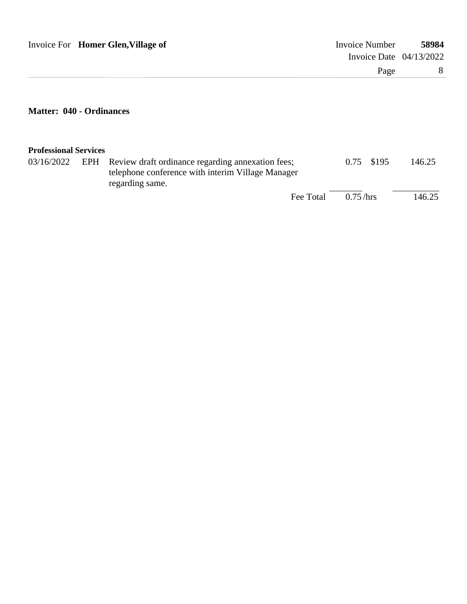| Invoice For Homer Glen, Village of | Invoice Number            | 58984 |
|------------------------------------|---------------------------|-------|
|                                    | Invoice Date $04/13/2022$ |       |
|                                    | Page                      | 8     |
|                                    |                           |       |

### **Matter: 040 - Ordinances**

| <b>Professional Services</b> |                                                                                                                                          |             |        |
|------------------------------|------------------------------------------------------------------------------------------------------------------------------------------|-------------|--------|
|                              | 03/16/2022 EPH Review draft ordinance regarding annexation fees;<br>telephone conference with interim Village Manager<br>regarding same. | 0.75 \$195  | 146.25 |
|                              | Fee Total                                                                                                                                | $0.75$ /hrs | 146.25 |